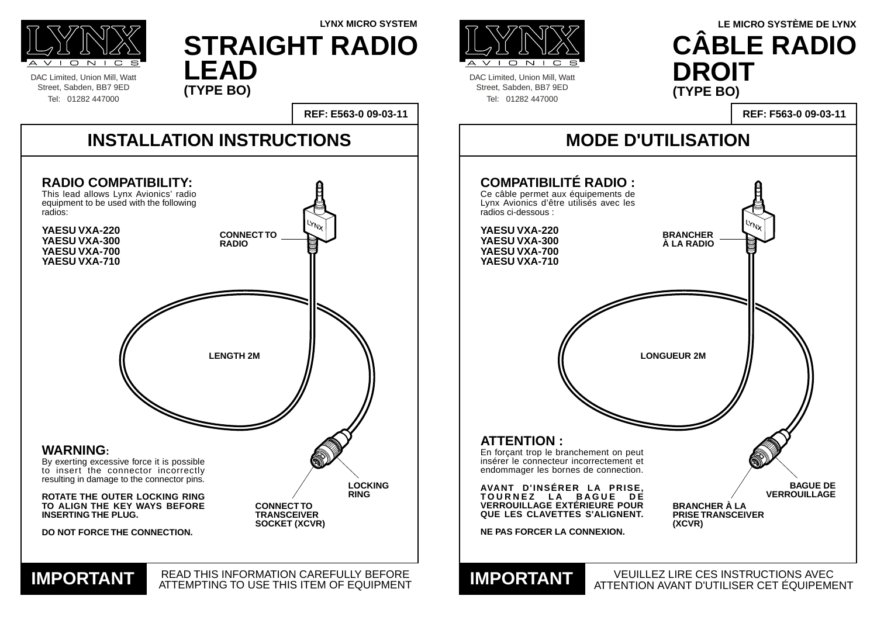DAC Limited, Union Mill, Watt Street, Sabden, BB7 9ED Tel: 01282 447000



DAC Limited, Union Mill, Watt Street, Sabden, BB7 9ED Tel: 01282 447000

### **MODE D'UTILISATION**

VEUILLEZ LIRE CES INSTRUCTIONS AVEC ATTENTION AVANT D'UTILISER CET ÉQUIPEMENT **IMPORTANT**



**REF: F563-0 09-03-11**

### **ATTENTION :** En forçant trop le branchement on peut insérer le connecteur incorrectement et endommager les bornes de connection. **AVANT D'INSÉRER LA PRISE, TOURNEZ LA BAGUE DE VERROUILLAGE EXTÉRIEURE POUR QUE LES CLAVETTES S'ALIGNENT. NE PAS FORCER LA CONNEXION. COMPATIBILITÉ RADIO :** Ce câble permet aux équipements de Lynx Avionics d'être utilisés avec les radios ci-dessous : **YAESU VXA-220 YAESU VXA-300 YAESU VXA-700 YAESU VXA-710**

## **LYNX MICRO SYSTEM LE MICRO SYSTÈME DE LYNX CÂBLE RADIO DROIT (TYPE BO)**



### **STRAIGHT RADIO LEAD (TYPE BO)**

![](_page_0_Picture_4.jpeg)